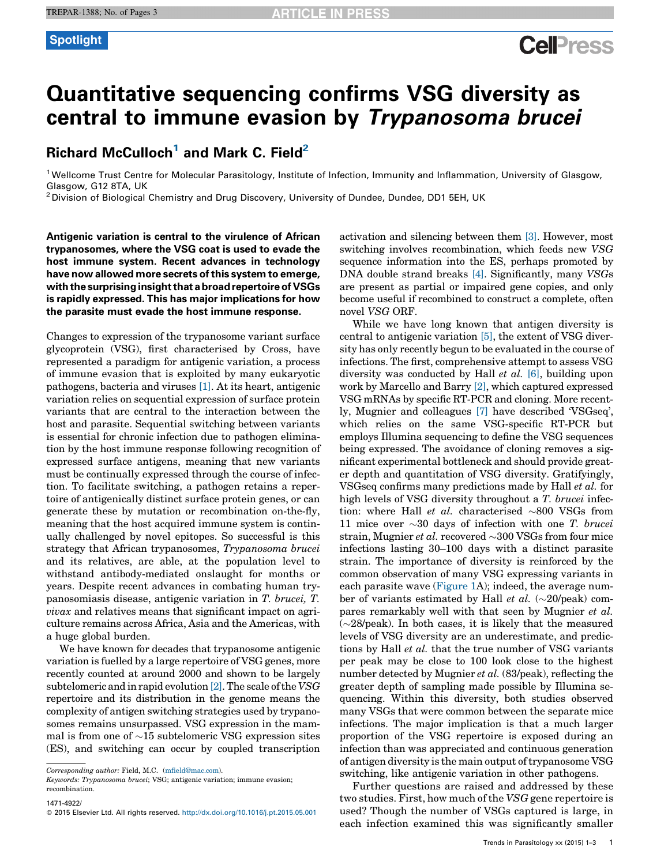# **Cell**<sup>ress</sup>

# Quantitative sequencing confirms VSG diversity as central to immune evasion by Trypanosoma brucei

## Richard McCulloch<sup>1</sup> and Mark C. Field<sup>2</sup>

<sup>1</sup> Wellcome Trust Centre for Molecular Parasitology, Institute of Infection, Immunity and Inflammation, University of Glasgow, Glasgow, G12 8TA, UK<br><sup>2</sup> Division of Biological Chemistry and Drug Discovery, University of Dundee, Dundee, DD1 5EH, UK

Antigenic variation is central to the virulence of African trypanosomes, where the VSG coat is used to evade the host immune system. Recent advances in technology have now allowed more secrets of this system to emerge, with the surprising insight that a broad repertoire of VSGs is rapidly expressed. This has major implications for how the parasite must evade the host immune response.

Changes to expression of the trypanosome variant surface glycoprotein (VSG), first characterised by Cross, have represented a paradigm for antigenic variation, a process of immune evasion that is exploited by many eukaryotic pathogens, bacteria and viruses [\[1\].](#page-2-0) At its heart, antigenic variation relies on sequential expression of surface protein variants that are central to the interaction between the host and parasite. Sequential switching between variants is essential for chronic infection due to pathogen elimination by the host immune response following recognition of expressed surface antigens, meaning that new variants must be continually expressed through the course of infection. To facilitate switching, a pathogen retains a repertoire of antigenically distinct surface protein genes, or can generate these by mutation or recombination on-the-fly, meaning that the host acquired immune system is continually challenged by novel epitopes. So successful is this strategy that African trypanosomes, Trypanosoma brucei and its relatives, are able, at the population level to withstand antibody-mediated onslaught for months or years. Despite recent advances in combating human trypanosomiasis disease, antigenic variation in T. brucei, T. vivax and relatives means that significant impact on agriculture remains across Africa, Asia and the Americas, with a huge global burden.

We have known for decades that trypanosome antigenic variation is fuelled by a large repertoire of VSG genes, more recently counted at around 2000 and shown to be largely subtelomeric and in rapid evolution  $[2]$ . The scale of the VSG repertoire and its distribution in the genome means the complexity of antigen switching strategies used by trypanosomes remains unsurpassed. VSG expression in the mammal is from one of  ${\sim}15$  subtelomeric VSG expression sites (ES), and switching can occur by coupled transcription

Keywords: Trypanosoma brucei; VSG; antigenic variation; immune evasion; recombination.

1471-4922/

activation and silencing between them [\[3\].](#page-2-0) However, most switching involves recombination, which feeds new VSG sequence information into the ES, perhaps promoted by DNA double strand breaks [\[4\]](#page-2-0). Significantly, many VSGs are present as partial or impaired gene copies, and only become useful if recombined to construct a complete, often novel VSG ORF.

While we have long known that antigen diversity is central to antigenic variation [\[5\]](#page-2-0), the extent of VSG diversity has only recently begun to be evaluated in the course of infections. The first, comprehensive attempt to assess VSG diversity was conducted by Hall et al. [\[6\]](#page-2-0), building upon work by Marcello and Barry [\[2\],](#page-2-0) which captured expressed VSG mRNAs by specific RT-PCR and cloning. More recently, Mugnier and colleagues [\[7\]](#page-2-0) have described 'VSGseq', which relies on the same VSG-specific RT-PCR but employs Illumina sequencing to define the VSG sequences being expressed. The avoidance of cloning removes a significant experimental bottleneck and should provide greater depth and quantitation of VSG diversity. Gratifyingly, VSGseq confirms many predictions made by Hall et al. for high levels of VSG diversity throughout a T. brucei infection: where Hall *et al.* characterised  $\sim 800$  VSGs from 11 mice over  $\sim$  30 days of infection with one *T*. brucei strain, Mugnier et al. recovered  $\sim$ 300 VSGs from four mice infections lasting 30–100 days with a distinct parasite strain. The importance of diversity is reinforced by the common observation of many VSG expressing variants in each parasite wave [\(Figure](#page-1-0) 1A); indeed, the average number of variants estimated by Hall *et al.*  $(\sim 20$ /peak) compares remarkably well with that seen by Mugnier et al.  $(\sim 28$ /peak). In both cases, it is likely that the measured levels of VSG diversity are an underestimate, and predictions by Hall et al. that the true number of VSG variants per peak may be close to 100 look close to the highest number detected by Mugnier *et al.* (83/peak), reflecting the greater depth of sampling made possible by Illumina sequencing. Within this diversity, both studies observed many VSGs that were common between the separate mice infections. The major implication is that a much larger proportion of the VSG repertoire is exposed during an infection than was appreciated and continuous generation of antigen diversity is the main output of trypanosome VSG switching, like antigenic variation in other pathogens.

Further questions are raised and addressed by these two studies. First, how much of the VSG gene repertoire is used? Though the number of VSGs captured is large, in each infection examined this was significantly smaller

Corresponding author: Field, M.C. ([mfield@mac.com\)](mailto:mfield@mac.com).

<sup>© 2015</sup> Elsevier Ltd. All rights reserved. <http://dx.doi.org/10.1016/j.pt.2015.05.001>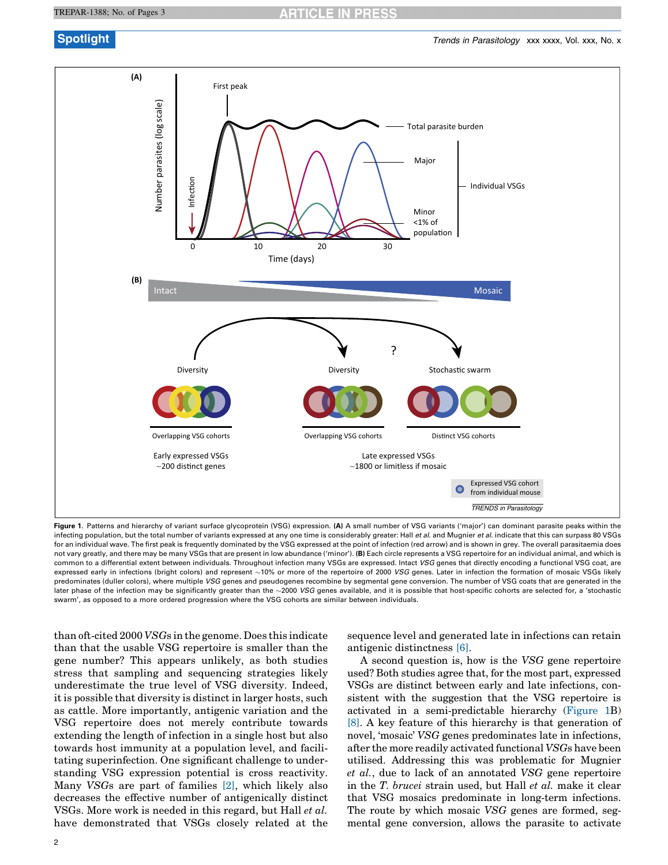<span id="page-1-0"></span>

Figure 1. Patterns and hierarchy of variant surface glycoprotein (VSG) expression. (A) A small number of VSG variants ('major') can dominant parasite peaks within the infecting population, but the total number of variants expressed at any one time is considerably greater: Hall et al. and Mugnier et al. indicate that this can surpass 80 VSGs for an individual wave. The first peak is frequently dominated by the VSG expressed at the point of infection (red arrow) and is shown in grey. The overall parasitaemia does not vary greatly, and there may be many VSGs that are present in low abundance ('minor'). (B) Each circle represents a VSG repertoire for an individual animal, and which is common to a differential extent between individuals. Throughout infection many VSGs are expressed. Intact VSG genes that directly encoding a functional VSG coat, are expressed early in infections (bright colors) and represent ~10% or more of the repertoire of 2000 *VSG* genes. Later in infection the formation of mosaic VSGs likely predominates (duller colors), where multiple VSG genes and pseudogenes recombine by segmental gene conversion. The number of VSG coats that are generated in the later phase of the infection may be significantly greater than the ~2000 *VSG* genes available, and it is possible that host-specific cohorts are selected for, a 'stochastic swarm', as opposed to a more ordered progression where the VSG cohorts are similar between individuals.

than oft-cited 2000 VSGs in the genome. Does this indicate than that the usable VSG repertoire is smaller than the gene number? This appears unlikely, as both studies stress that sampling and sequencing strategies likely underestimate the true level of VSG diversity. Indeed, it is possible that diversity is distinct in larger hosts, such as cattle. More importantly, antigenic variation and the VSG repertoire does not merely contribute towards extending the length of infection in a single host but also towards host immunity at a population level, and facilitating superinfection. One significant challenge to understanding VSG expression potential is cross reactivity. Many VSGs are part of families [\[2\],](#page-2-0) which likely also decreases the effective number of antigenically distinct VSGs. More work is needed in this regard, but Hall et al. have demonstrated that VSGs closely related at the sequence level and generated late in infections can retain antigenic distinctness [\[6\]](#page-2-0).

A second question is, how is the VSG gene repertoire used? Both studies agree that, for the most part, expressed VSGs are distinct between early and late infections, consistent with the suggestion that the VSG repertoire is activated in a semi-predictable hierarchy (Figure 1B) [\[8\].](#page-2-0) A key feature of this hierarchy is that generation of novel, 'mosaic' VSG genes predominates late in infections, after the more readily activated functional VSGs have been utilised. Addressing this was problematic for Mugnier et al., due to lack of an annotated VSG gene repertoire in the T. brucei strain used, but Hall et al. make it clear that VSG mosaics predominate in long-term infections. The route by which mosaic VSG genes are formed, segmental gene conversion, allows the parasite to activate